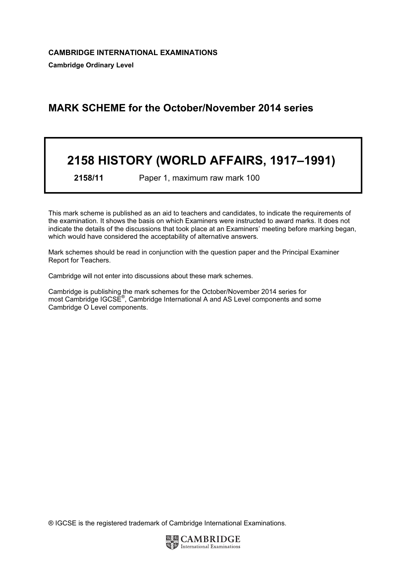# MARK SCHEME for the October/November 2014 series

# 2158 HISTORY (WORLD AFFAIRS, 1917–1991)

2158/11 Paper 1, maximum raw mark 100

This mark scheme is published as an aid to teachers and candidates, to indicate the requirements of the examination. It shows the basis on which Examiners were instructed to award marks. It does not indicate the details of the discussions that took place at an Examiners' meeting before marking began, which would have considered the acceptability of alternative answers.

Mark schemes should be read in conjunction with the question paper and the Principal Examiner Report for Teachers.

Cambridge will not enter into discussions about these mark schemes.

Cambridge is publishing the mark schemes for the October/November 2014 series for most Cambridge IGCSE<sup>®</sup>, Cambridge International A and AS Level components and some Cambridge O Level components.

® IGCSE is the registered trademark of Cambridge International Examinations.

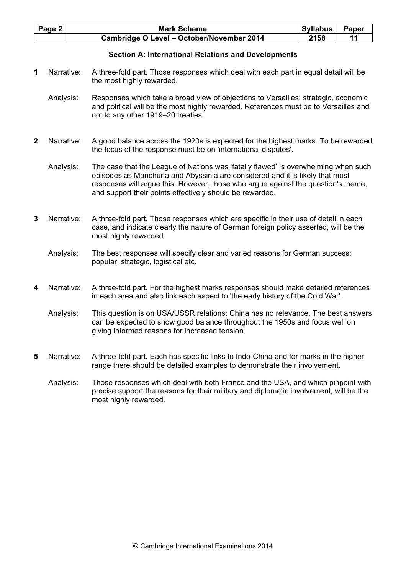| Page 2 | <b>Mark Scheme</b>                        | <b>Syllabus</b> | <b>Paper</b> |
|--------|-------------------------------------------|-----------------|--------------|
|        | Cambridge O Level - October/November 2014 | 2158            |              |

## Section A: International Relations and Developments

- 1 Narrative: A three-fold part. Those responses which deal with each part in equal detail will be the most highly rewarded.
	- Analysis: Responses which take a broad view of objections to Versailles: strategic, economic and political will be the most highly rewarded. References must be to Versailles and not to any other 1919–20 treaties.
- 2 Narrative: A good balance across the 1920s is expected for the highest marks. To be rewarded the focus of the response must be on 'international disputes'.
	- Analysis: The case that the League of Nations was 'fatally flawed' is overwhelming when such episodes as Manchuria and Abyssinia are considered and it is likely that most responses will argue this. However, those who argue against the question's theme, and support their points effectively should be rewarded.
- 3 Narrative: A three-fold part. Those responses which are specific in their use of detail in each case, and indicate clearly the nature of German foreign policy asserted, will be the most highly rewarded.
	- Analysis: The best responses will specify clear and varied reasons for German success: popular, strategic, logistical etc.
- 4 Narrative: A three-fold part. For the highest marks responses should make detailed references in each area and also link each aspect to 'the early history of the Cold War'.

 Analysis: This question is on USA/USSR relations; China has no relevance. The best answers can be expected to show good balance throughout the 1950s and focus well on giving informed reasons for increased tension.

- 5 Narrative: A three-fold part. Each has specific links to Indo-China and for marks in the higher range there should be detailed examples to demonstrate their involvement.
	- Analysis: Those responses which deal with both France and the USA, and which pinpoint with precise support the reasons for their military and diplomatic involvement, will be the most highly rewarded.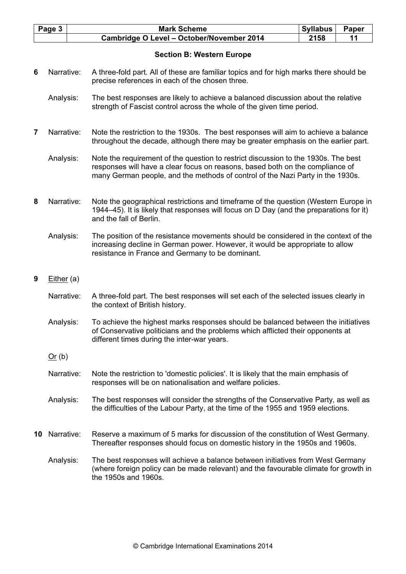| Page 3 | <b>Mark Scheme</b>                        | <b>Syllabus</b> | <b>Paper</b> |
|--------|-------------------------------------------|-----------------|--------------|
|        | Cambridge O Level - October/November 2014 | 2158            |              |
|        |                                           |                 |              |

## Section B: Western Europe

- 6 Narrative: A three-fold part. All of these are familiar topics and for high marks there should be precise references in each of the chosen three.
	- Analysis: The best responses are likely to achieve a balanced discussion about the relative strength of Fascist control across the whole of the given time period.
- 7 Narrative: Note the restriction to the 1930s. The best responses will aim to achieve a balance throughout the decade, although there may be greater emphasis on the earlier part.
	- Analysis: Note the requirement of the question to restrict discussion to the 1930s. The best responses will have a clear focus on reasons, based both on the compliance of many German people, and the methods of control of the Nazi Party in the 1930s.
- 8 Narrative: Note the geographical restrictions and timeframe of the question (Western Europe in 1944–45). It is likely that responses will focus on D Day (and the preparations for it) and the fall of Berlin.
	- Analysis: The position of the resistance movements should be considered in the context of the increasing decline in German power. However, it would be appropriate to allow resistance in France and Germany to be dominant.
- 9 Either (a)
	- Narrative: A three-fold part. The best responses will set each of the selected issues clearly in the context of British history.
	- Analysis: To achieve the highest marks responses should be balanced between the initiatives of Conservative politicians and the problems which afflicted their opponents at different times during the inter-war years.
	- Or (b)
	- Narrative: Note the restriction to 'domestic policies'. It is likely that the main emphasis of responses will be on nationalisation and welfare policies.
	- Analysis: The best responses will consider the strengths of the Conservative Party, as well as the difficulties of the Labour Party, at the time of the 1955 and 1959 elections.
- 10 Narrative: Reserve a maximum of 5 marks for discussion of the constitution of West Germany. Thereafter responses should focus on domestic history in the 1950s and 1960s.
	- Analysis: The best responses will achieve a balance between initiatives from West Germany (where foreign policy can be made relevant) and the favourable climate for growth in the 1950s and 1960s.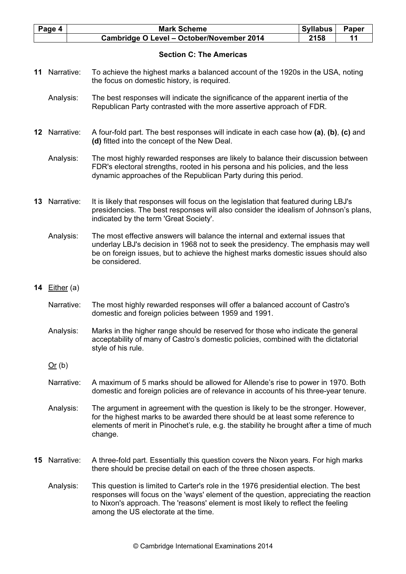| Page 4 | <b>Mark Scheme</b>                               | <b>Syllabus</b> | <b>Paper</b> |
|--------|--------------------------------------------------|-----------------|--------------|
|        | <b>Cambridge O Level - October/November 2014</b> | 2158            |              |

# Section C: The Americas

- 11 Narrative: To achieve the highest marks a balanced account of the 1920s in the USA, noting the focus on domestic history, is required.
	- Analysis: The best responses will indicate the significance of the apparent inertia of the Republican Party contrasted with the more assertive approach of FDR.
- 12 Narrative: A four-fold part. The best responses will indicate in each case how (a), (b), (c) and (d) fitted into the concept of the New Deal.
	- Analysis: The most highly rewarded responses are likely to balance their discussion between FDR's electoral strengths, rooted in his persona and his policies, and the less dynamic approaches of the Republican Party during this period.
- 13 Narrative: It is likely that responses will focus on the legislation that featured during LBJ's presidencies. The best responses will also consider the idealism of Johnson's plans, indicated by the term 'Great Society'.
	- Analysis: The most effective answers will balance the internal and external issues that underlay LBJ's decision in 1968 not to seek the presidency. The emphasis may well be on foreign issues, but to achieve the highest marks domestic issues should also be considered.
- 14 Either (a)
	- Narrative: The most highly rewarded responses will offer a balanced account of Castro's domestic and foreign policies between 1959 and 1991.
	- Analysis: Marks in the higher range should be reserved for those who indicate the general acceptability of many of Castro's domestic policies, combined with the dictatorial style of his rule.
	- $Or (b)$
	- Narrative: A maximum of 5 marks should be allowed for Allende's rise to power in 1970. Both domestic and foreign policies are of relevance in accounts of his three-year tenure.
	- Analysis: The argument in agreement with the question is likely to be the stronger. However, for the highest marks to be awarded there should be at least some reference to elements of merit in Pinochet's rule, e.g. the stability he brought after a time of much change.
- 15 Narrative: A three-fold part. Essentially this question covers the Nixon years. For high marks there should be precise detail on each of the three chosen aspects.
	- Analysis: This question is limited to Carter's role in the 1976 presidential election. The best responses will focus on the 'ways' element of the question, appreciating the reaction to Nixon's approach. The 'reasons' element is most likely to reflect the feeling among the US electorate at the time.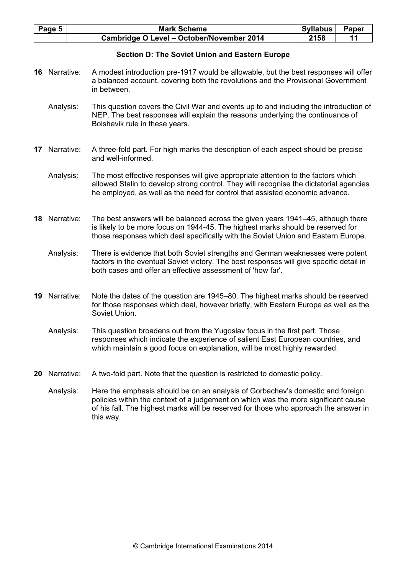| Page 5 | <b>Mark Scheme</b>                        | <b>Syllabus</b> | Paper |
|--------|-------------------------------------------|-----------------|-------|
|        | Cambridge O Level - October/November 2014 | 2158            |       |

# Section D: The Soviet Union and Eastern Europe

- 16 Narrative: A modest introduction pre-1917 would be allowable, but the best responses will offer a balanced account, covering both the revolutions and the Provisional Government in between.
	- Analysis: This question covers the Civil War and events up to and including the introduction of NEP. The best responses will explain the reasons underlying the continuance of Bolshevik rule in these years.
- 17 Narrative: A three-fold part. For high marks the description of each aspect should be precise and well-informed.
	- Analysis: The most effective responses will give appropriate attention to the factors which allowed Stalin to develop strong control. They will recognise the dictatorial agencies he employed, as well as the need for control that assisted economic advance.
- 18 Narrative: The best answers will be balanced across the given years 1941–45, although there is likely to be more focus on 1944-45. The highest marks should be reserved for those responses which deal specifically with the Soviet Union and Eastern Europe.
	- Analysis: There is evidence that both Soviet strengths and German weaknesses were potent factors in the eventual Soviet victory. The best responses will give specific detail in both cases and offer an effective assessment of 'how far'.
- 19 Narrative: Note the dates of the question are 1945–80. The highest marks should be reserved for those responses which deal, however briefly, with Eastern Europe as well as the Soviet Union.
	- Analysis: This question broadens out from the Yugoslav focus in the first part. Those responses which indicate the experience of salient East European countries, and which maintain a good focus on explanation, will be most highly rewarded.
- 20 Narrative: A two-fold part. Note that the question is restricted to domestic policy.
	- Analysis: Here the emphasis should be on an analysis of Gorbachev's domestic and foreign policies within the context of a judgement on which was the more significant cause of his fall. The highest marks will be reserved for those who approach the answer in this way.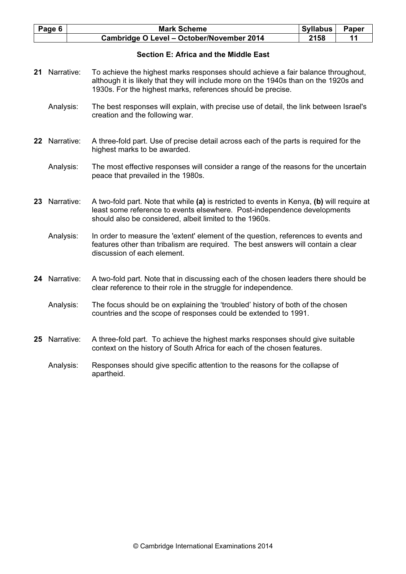| Page 6 $ $ | <b>Mark Scheme</b>                        | Syllabus | <b>Paper</b> |
|------------|-------------------------------------------|----------|--------------|
|            | Cambridge O Level - October/November 2014 | 2158     |              |

# Section E: Africa and the Middle East

- 21 Narrative: To achieve the highest marks responses should achieve a fair balance throughout, although it is likely that they will include more on the 1940s than on the 1920s and 1930s. For the highest marks, references should be precise.
	- Analysis: The best responses will explain, with precise use of detail, the link between Israel's creation and the following war.
- 22 Narrative: A three-fold part. Use of precise detail across each of the parts is required for the highest marks to be awarded.
	- Analysis: The most effective responses will consider a range of the reasons for the uncertain peace that prevailed in the 1980s.
- 23 Narrative: A two-fold part. Note that while (a) is restricted to events in Kenya, (b) will require at least some reference to events elsewhere. Post-independence developments should also be considered, albeit limited to the 1960s.
	- Analysis: In order to measure the 'extent' element of the question, references to events and features other than tribalism are required. The best answers will contain a clear discussion of each element.
- 24 Narrative: A two-fold part. Note that in discussing each of the chosen leaders there should be clear reference to their role in the struggle for independence.
	- Analysis: The focus should be on explaining the 'troubled' history of both of the chosen countries and the scope of responses could be extended to 1991.
- 25 Narrative: A three-fold part. To achieve the highest marks responses should give suitable context on the history of South Africa for each of the chosen features.
	- Analysis: Responses should give specific attention to the reasons for the collapse of apartheid.